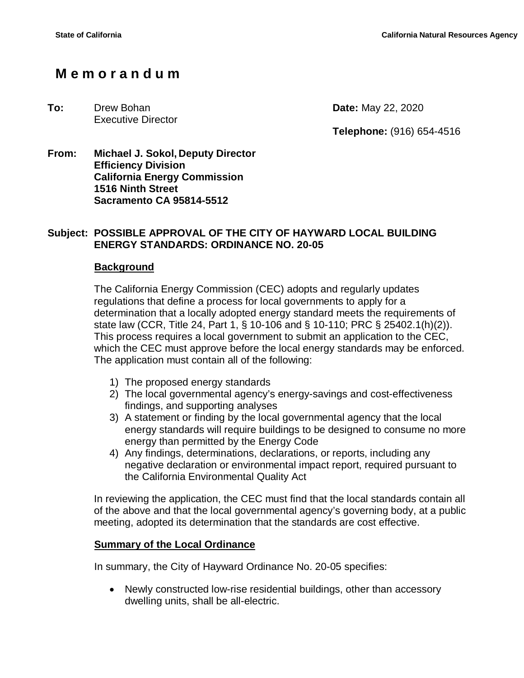# **M e m o r a n d u m**

#### **To:** Drew Bohan **Date:** May 22, 2020 Executive Director

**Telephone:** (916) 654-4516

**From: Michael J. Sokol, Deputy Director Efficiency Division California Energy Commission 1516 Ninth Street Sacramento CA 95814-5512**

## **Subject: POSSIBLE APPROVAL OF THE CITY OF HAYWARD LOCAL BUILDING ENERGY STANDARDS: ORDINANCE NO. 20-05**

## **Background**

The California Energy Commission (CEC) adopts and regularly updates regulations that define a process for local governments to apply for a determination that a locally adopted energy standard meets the requirements of state law (CCR, Title 24, Part 1, § 10-106 and § 10-110; PRC § 25402.1(h)(2)). This process requires a local government to submit an application to the CEC, which the CEC must approve before the local energy standards may be enforced. The application must contain all of the following:

- 1) The proposed energy standards
- 2) The local governmental agency's energy-savings and cost-effectiveness findings, and supporting analyses
- 3) A statement or finding by the local governmental agency that the local energy standards will require buildings to be designed to consume no more energy than permitted by the Energy Code
- 4) Any findings, determinations, declarations, or reports, including any negative declaration or environmental impact report, required pursuant to the California Environmental Quality Act

In reviewing the application, the CEC must find that the local standards contain all of the above and that the local governmental agency's governing body, at a public meeting, adopted its determination that the standards are cost effective.

## **Summary of the Local Ordinance**

In summary, the City of Hayward Ordinance No. 20-05 specifies:

• Newly constructed low-rise residential buildings, other than accessory dwelling units, shall be all-electric.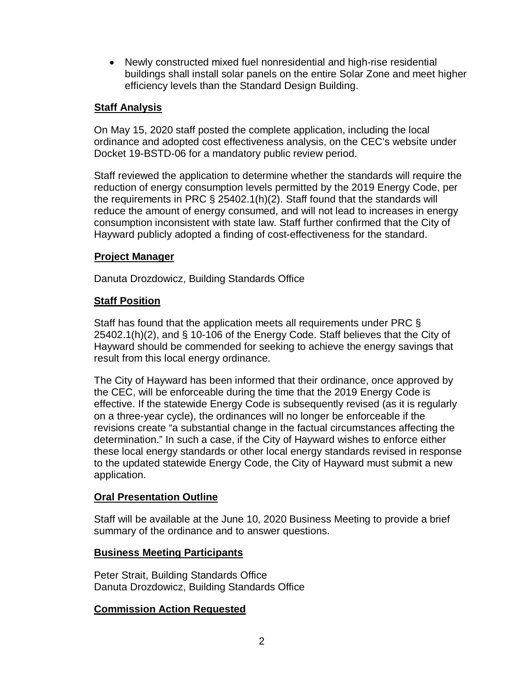• Newly constructed mixed fuel nonresidential and high-rise residential buildings shall install solar panels on the entire Solar Zone and meet higher efficiency levels than the Standard Design Building.

## **Staff Analysis**

On May 15, 2020 staff posted the complete application, including the local ordinance and adopted cost effectiveness analysis, on the CEC's website under Docket 19-BSTD-06 for a mandatory public review period.

Staff reviewed the application to determine whether the standards will require the reduction of energy consumption levels permitted by the 2019 Energy Code, per the requirements in PRC § 25402.1(h)(2). Staff found that the standards will reduce the amount of energy consumed, and will not lead to increases in energy consumption inconsistent with state law. Staff further confirmed that the City of Hayward publicly adopted a finding of cost-effectiveness for the standard.

## **Project Manager**

Danuta Drozdowicz, Building Standards Office

## **Staff Position**

Staff has found that the application meets all requirements under PRC § 25402.1(h)(2), and § 10-106 of the Energy Code. Staff believes that the City of Hayward should be commended for seeking to achieve the energy savings that result from this local energy ordinance.

The City of Hayward has been informed that their ordinance, once approved by the CEC, will be enforceable during the time that the 2019 Energy Code is effective. If the statewide Energy Code is subsequently revised (as it is regularly on a three-year cycle), the ordinances will no longer be enforceable if the revisions create "a substantial change in the factual circumstances affecting the determination." In such a case, if the City of Hayward wishes to enforce either these local energy standards or other local energy standards revised in response to the updated statewide Energy Code, the City of Hayward must submit a new application.

## **Oral Presentation Outline**

Staff will be available at the June 10, 2020 Business Meeting to provide a brief summary of the ordinance and to answer questions.

## **Business Meeting Participants**

Peter Strait, Building Standards Office Danuta Drozdowicz, Building Standards Office

## **Commission Action Requested**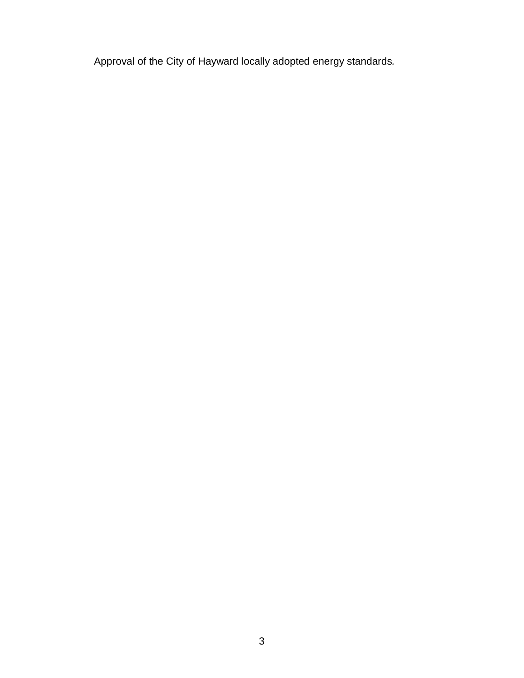Approval of the City of Hayward locally adopted energy standards*.*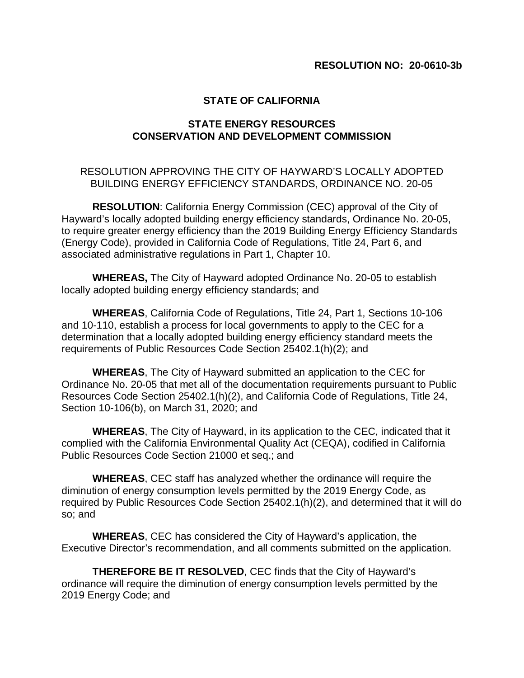#### **STATE OF CALIFORNIA**

#### **STATE ENERGY RESOURCES CONSERVATION AND DEVELOPMENT COMMISSION**

#### RESOLUTION APPROVING THE CITY OF HAYWARD'S LOCALLY ADOPTED BUILDING ENERGY EFFICIENCY STANDARDS, ORDINANCE NO. 20-05

**RESOLUTION**: California Energy Commission (CEC) approval of the City of Hayward's locally adopted building energy efficiency standards, Ordinance No. 20-05, to require greater energy efficiency than the 2019 Building Energy Efficiency Standards (Energy Code), provided in California Code of Regulations, Title 24, Part 6, and associated administrative regulations in Part 1, Chapter 10.

**WHEREAS,** The City of Hayward adopted Ordinance No. 20-05 to establish locally adopted building energy efficiency standards; and

**WHEREAS**, California Code of Regulations, Title 24, Part 1, Sections 10-106 and 10-110, establish a process for local governments to apply to the CEC for a determination that a locally adopted building energy efficiency standard meets the requirements of Public Resources Code Section 25402.1(h)(2); and

**WHEREAS**, The City of Hayward submitted an application to the CEC for Ordinance No. 20-05 that met all of the documentation requirements pursuant to Public Resources Code Section 25402.1(h)(2), and California Code of Regulations, Title 24, Section 10-106(b), on March 31, 2020; and

**WHEREAS**, The City of Hayward, in its application to the CEC, indicated that it complied with the California Environmental Quality Act (CEQA), codified in California Public Resources Code Section 21000 et seq.; and

**WHEREAS**, CEC staff has analyzed whether the ordinance will require the diminution of energy consumption levels permitted by the 2019 Energy Code, as required by Public Resources Code Section 25402.1(h)(2), and determined that it will do so; and

**WHEREAS**, CEC has considered the City of Hayward's application, the Executive Director's recommendation, and all comments submitted on the application.

**THEREFORE BE IT RESOLVED**, CEC finds that the City of Hayward's ordinance will require the diminution of energy consumption levels permitted by the 2019 Energy Code; and